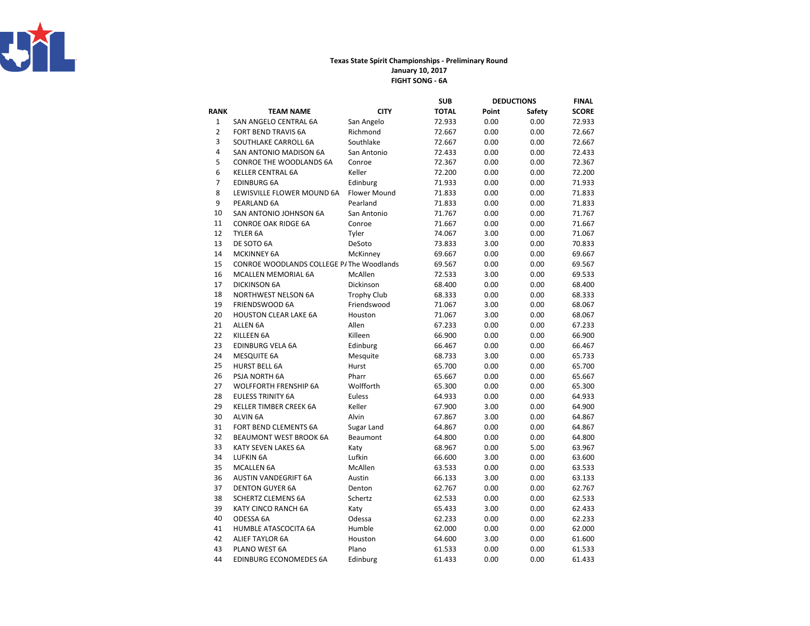

## Texas State Spirit Championships - Preliminary RoundFIGHT SONG - 6AJanuary 10, 2017

|                |                                           |                     | SUB          |       | <b>DEDUCTIONS</b> | <b>FINAL</b> |
|----------------|-------------------------------------------|---------------------|--------------|-------|-------------------|--------------|
| <b>RANK</b>    | <b>TEAM NAME</b>                          | <b>CITY</b>         | <b>TOTAL</b> | Point | Safety            | <b>SCORE</b> |
| $\mathbf 1$    | SAN ANGELO CENTRAL 6A                     | San Angelo          | 72.933       | 0.00  | 0.00              | 72.933       |
| $\overline{2}$ | FORT BEND TRAVIS 6A                       | Richmond            | 72.667       | 0.00  | 0.00              | 72.667       |
| 3              | SOUTHLAKE CARROLL 6A                      | Southlake           | 72.667       | 0.00  | 0.00              | 72.667       |
| 4              | SAN ANTONIO MADISON 6A                    | San Antonio         | 72.433       | 0.00  | 0.00              | 72.433       |
| 5              | <b>CONROE THE WOODLANDS 6A</b>            | Conroe              | 72.367       | 0.00  | 0.00              | 72.367       |
| 6              | <b>KELLER CENTRAL 6A</b>                  | Keller              | 72.200       | 0.00  | 0.00              | 72.200       |
| $\overline{7}$ | <b>EDINBURG 6A</b>                        | Edinburg            | 71.933       | 0.00  | 0.00              | 71.933       |
| 8              | LEWISVILLE FLOWER MOUND 6A                | <b>Flower Mound</b> | 71.833       | 0.00  | 0.00              | 71.833       |
| 9              | PEARLAND 6A                               | Pearland            | 71.833       | 0.00  | 0.00              | 71.833       |
| 10             | SAN ANTONIO JOHNSON 6A                    | San Antonio         | 71.767       | 0.00  | 0.00              | 71.767       |
| 11             | <b>CONROE OAK RIDGE 6A</b>                | Conroe              | 71.667       | 0.00  | 0.00              | 71.667       |
| 12             | TYLER 6A                                  | Tyler               | 74.067       | 3.00  | 0.00              | 71.067       |
| 13             | DE SOTO 6A                                | DeSoto              | 73.833       | 3.00  | 0.00              | 70.833       |
| 14             | <b>MCKINNEY 6A</b>                        | McKinney            | 69.667       | 0.00  | 0.00              | 69.667       |
| 15             | CONROE WOODLANDS COLLEGE P/ The Woodlands |                     | 69.567       | 0.00  | 0.00              | 69.567       |
| 16             | MCALLEN MEMORIAL 6A                       | McAllen             | 72.533       | 3.00  | 0.00              | 69.533       |
| 17             | <b>DICKINSON 6A</b>                       | Dickinson           | 68.400       | 0.00  | 0.00              | 68.400       |
| 18             | <b>NORTHWEST NELSON 6A</b>                | <b>Trophy Club</b>  | 68.333       | 0.00  | 0.00              | 68.333       |
| 19             | FRIENDSWOOD 6A                            | Friendswood         | 71.067       | 3.00  | 0.00              | 68.067       |
| 20             | <b>HOUSTON CLEAR LAKE 6A</b>              | Houston             | 71.067       | 3.00  | 0.00              | 68.067       |
| 21             | ALLEN 6A                                  | Allen               | 67.233       | 0.00  | 0.00              | 67.233       |
| 22             | KILLEEN 6A                                | Killeen             | 66.900       | 0.00  | 0.00              | 66.900       |
| 23             | <b>EDINBURG VELA 6A</b>                   | Edinburg            | 66.467       | 0.00  | 0.00              | 66.467       |
| 24             | <b>MESQUITE 6A</b>                        | Mesquite            | 68.733       | 3.00  | 0.00              | 65.733       |
| 25             | <b>HURST BELL 6A</b>                      | Hurst               | 65.700       | 0.00  | 0.00              | 65.700       |
| 26             | PSJA NORTH 6A                             | Pharr               | 65.667       | 0.00  | 0.00              | 65.667       |
| 27             | <b>WOLFFORTH FRENSHIP 6A</b>              | Wolfforth           | 65.300       | 0.00  | 0.00              | 65.300       |
| 28             | <b>EULESS TRINITY 6A</b>                  | <b>Euless</b>       | 64.933       | 0.00  | 0.00              | 64.933       |
| 29             | <b>KELLER TIMBER CREEK 6A</b>             | Keller              | 67.900       | 3.00  | 0.00              | 64.900       |
| 30             | <b>ALVIN 6A</b>                           | Alvin               | 67.867       | 3.00  | 0.00              | 64.867       |
| 31             | FORT BEND CLEMENTS 6A                     | Sugar Land          | 64.867       | 0.00  | 0.00              | 64.867       |
| 32             | <b>BEAUMONT WEST BROOK 6A</b>             | Beaumont            | 64.800       | 0.00  | 0.00              | 64.800       |
| 33             | KATY SEVEN LAKES 6A                       | Katy                | 68.967       | 0.00  | 5.00              | 63.967       |
| 34             | <b>LUFKIN 6A</b>                          | Lufkin              | 66.600       | 3.00  | 0.00              | 63.600       |
| 35             | <b>MCALLEN 6A</b>                         | McAllen             | 63.533       | 0.00  | 0.00              | 63.533       |
| 36             | AUSTIN VANDEGRIFT 6A                      | Austin              | 66.133       | 3.00  | 0.00              | 63.133       |
| 37             | <b>DENTON GUYER 6A</b>                    | Denton              | 62.767       | 0.00  | 0.00              | 62.767       |
| 38             | <b>SCHERTZ CLEMENS 6A</b>                 | Schertz             | 62.533       | 0.00  | 0.00              | 62.533       |
| 39             | KATY CINCO RANCH 6A                       | Katy                | 65.433       | 3.00  | 0.00              | 62.433       |
| 40             | ODESSA 6A                                 | Odessa              | 62.233       | 0.00  | 0.00              | 62.233       |
| 41             | HUMBLE ATASCOCITA 6A                      | Humble              | 62.000       | 0.00  | 0.00              | 62.000       |
| 42             | <b>ALIEF TAYLOR 6A</b>                    | Houston             | 64.600       | 3.00  | 0.00              | 61.600       |
| 43             | PLANO WEST 6A                             | Plano               | 61.533       | 0.00  | 0.00              | 61.533       |
| 44             | <b>EDINBURG ECONOMEDES 6A</b>             | Edinburg            | 61.433       | 0.00  | 0.00              | 61.433       |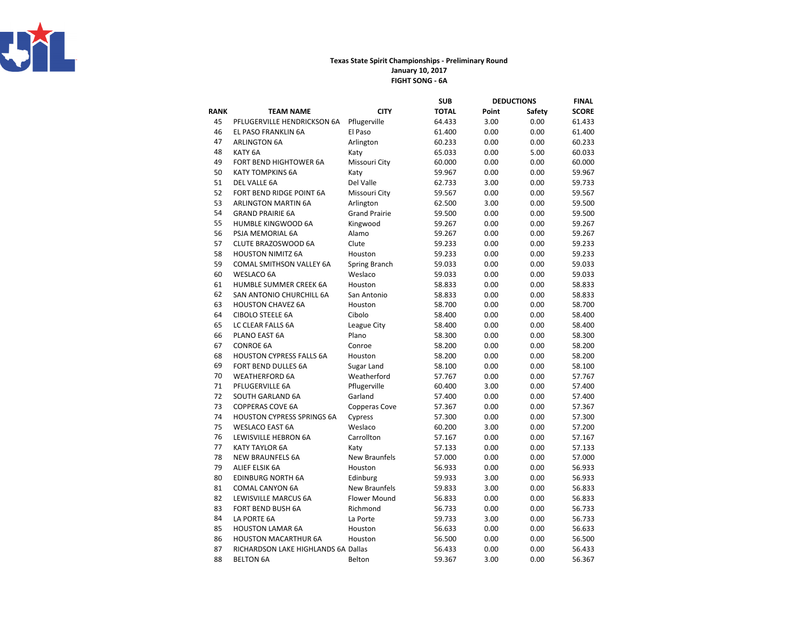

## Texas State Spirit Championships - Preliminary RoundFIGHT SONG - 6A January 10, 2017

|      |                                     |                      | <b>SUB</b>   | <b>DEDUCTIONS</b> |        | <b>FINAL</b> |
|------|-------------------------------------|----------------------|--------------|-------------------|--------|--------------|
| RANK | <b>TEAM NAME</b>                    | <b>CITY</b>          | <b>TOTAL</b> | Point             | Safety | <b>SCORE</b> |
| 45   | PFLUGERVILLE HENDRICKSON 6A         | Pflugerville         | 64.433       | 3.00              | 0.00   | 61.433       |
| 46   | EL PASO FRANKLIN 6A                 | El Paso              | 61.400       | 0.00              | 0.00   | 61.400       |
| 47   | <b>ARLINGTON 6A</b>                 | Arlington            | 60.233       | 0.00              | 0.00   | 60.233       |
| 48   | KATY <sub>6A</sub>                  | Katy                 | 65.033       | 0.00              | 5.00   | 60.033       |
| 49   | FORT BEND HIGHTOWER 6A              | Missouri City        | 60.000       | 0.00              | 0.00   | 60.000       |
| 50   | <b>KATY TOMPKINS 6A</b>             | Katy                 | 59.967       | 0.00              | 0.00   | 59.967       |
| 51   | DEL VALLE 6A                        | Del Valle            | 62.733       | 3.00              | 0.00   | 59.733       |
| 52   | FORT BEND RIDGE POINT 6A            | Missouri City        | 59.567       | 0.00              | 0.00   | 59.567       |
| 53   | <b>ARLINGTON MARTIN 6A</b>          | Arlington            | 62.500       | 3.00              | 0.00   | 59.500       |
| 54   | <b>GRAND PRAIRIE 6A</b>             | <b>Grand Prairie</b> | 59.500       | 0.00              | 0.00   | 59.500       |
| 55   | HUMBLE KINGWOOD 6A                  | Kingwood             | 59.267       | 0.00              | 0.00   | 59.267       |
| 56   | PSJA MEMORIAL 6A                    | Alamo                | 59.267       | 0.00              | 0.00   | 59.267       |
| 57   | CLUTE BRAZOSWOOD 6A                 | Clute                | 59.233       | 0.00              | 0.00   | 59.233       |
| 58   | <b>HOUSTON NIMITZ 6A</b>            | Houston              | 59.233       | 0.00              | 0.00   | 59.233       |
| 59   | COMAL SMITHSON VALLEY 6A            | Spring Branch        | 59.033       | 0.00              | 0.00   | 59.033       |
| 60   | <b>WESLACO 6A</b>                   | Weslaco              | 59.033       | 0.00              | 0.00   | 59.033       |
| 61   | HUMBLE SUMMER CREEK 6A              | Houston              | 58.833       | 0.00              | 0.00   | 58.833       |
| 62   | SAN ANTONIO CHURCHILL 6A            | San Antonio          | 58.833       | 0.00              | 0.00   | 58.833       |
| 63   | <b>HOUSTON CHAVEZ 6A</b>            | Houston              | 58.700       | 0.00              | 0.00   | 58.700       |
| 64   | <b>CIBOLO STEELE 6A</b>             | Cibolo               | 58.400       | 0.00              | 0.00   | 58.400       |
| 65   | LC CLEAR FALLS 6A                   | League City          | 58.400       | 0.00              | 0.00   | 58.400       |
| 66   | PLANO EAST 6A                       | Plano                | 58.300       | 0.00              | 0.00   | 58.300       |
| 67   | <b>CONROE 6A</b>                    | Conroe               | 58.200       | 0.00              | 0.00   | 58.200       |
| 68   | <b>HOUSTON CYPRESS FALLS 6A</b>     | Houston              | 58.200       | 0.00              | 0.00   | 58.200       |
| 69   | FORT BEND DULLES 6A                 | Sugar Land           | 58.100       | 0.00              | 0.00   | 58.100       |
| 70   | <b>WEATHERFORD 6A</b>               | Weatherford          | 57.767       | 0.00              | 0.00   | 57.767       |
| 71   | PFLUGERVILLE 6A                     | Pflugerville         | 60.400       | 3.00              | 0.00   | 57.400       |
| 72   | SOUTH GARLAND 6A                    | Garland              | 57.400       | 0.00              | 0.00   | 57.400       |
| 73   | <b>COPPERAS COVE 6A</b>             | Copperas Cove        | 57.367       | 0.00              | 0.00   | 57.367       |
| 74   | <b>HOUSTON CYPRESS SPRINGS 6A</b>   | Cypress              | 57.300       | 0.00              | 0.00   | 57.300       |
| 75   | <b>WESLACO EAST 6A</b>              | Weslaco              | 60.200       | 3.00              | 0.00   | 57.200       |
| 76   | LEWISVILLE HEBRON 6A                | Carrollton           | 57.167       | 0.00              | 0.00   | 57.167       |
| 77   | <b>KATY TAYLOR 6A</b>               | Katy                 | 57.133       | 0.00              | 0.00   | 57.133       |
| 78   | <b>NEW BRAUNFELS 6A</b>             | <b>New Braunfels</b> | 57.000       | 0.00              | 0.00   | 57.000       |
| 79   | ALIEF ELSIK 6A                      | Houston              | 56.933       | 0.00              | 0.00   | 56.933       |
| 80   | <b>EDINBURG NORTH 6A</b>            | Edinburg             | 59.933       | 3.00              | 0.00   | 56.933       |
| 81   | <b>COMAL CANYON 6A</b>              | <b>New Braunfels</b> | 59.833       | 3.00              | 0.00   | 56.833       |
| 82   | LEWISVILLE MARCUS 6A                | <b>Flower Mound</b>  | 56.833       | 0.00              | 0.00   | 56.833       |
| 83   | FORT BEND BUSH 6A                   | Richmond             | 56.733       | 0.00              | 0.00   | 56.733       |
| 84   | LA PORTE 6A                         | La Porte             | 59.733       | 3.00              | 0.00   | 56.733       |
| 85   | <b>HOUSTON LAMAR 6A</b>             | Houston              | 56.633       | 0.00              | 0.00   | 56.633       |
| 86   | <b>HOUSTON MACARTHUR 6A</b>         | Houston              | 56.500       | 0.00              | 0.00   | 56.500       |
| 87   | RICHARDSON LAKE HIGHLANDS 6A Dallas |                      | 56.433       | 0.00              | 0.00   | 56.433       |
| 88   | <b>BELTON 6A</b>                    | Belton               | 59.367       | 3.00              | 0.00   | 56.367       |